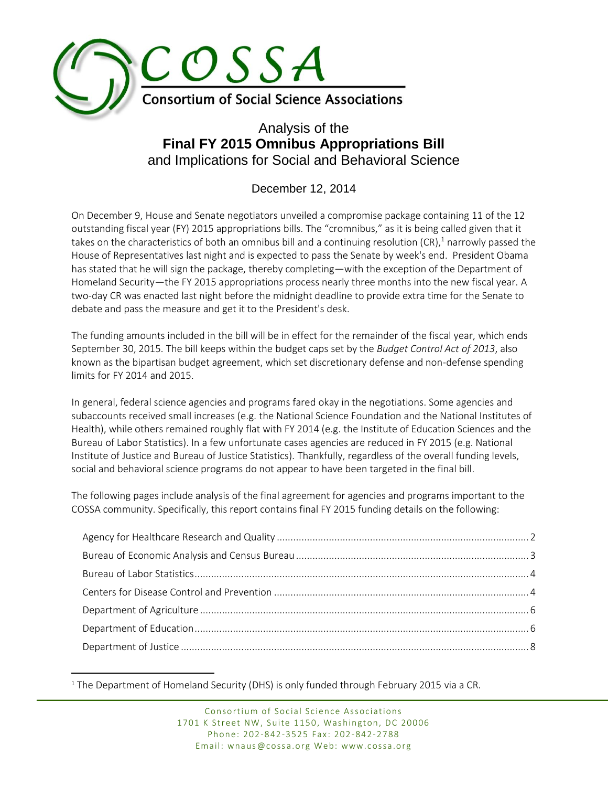

# Analysis of the **Final FY 2015 Omnibus Appropriations Bill** and Implications for Social and Behavioral Science

# December 12, 2014

On December 9, House and Senate negotiators unveiled a compromise package containing 11 of the 12 outstanding fiscal year (FY) 2015 appropriations bills. The "cromnibus," as it is being called given that it takes on the characteristics of both an omnibus bill and a continuing resolution (CR), <sup>1</sup> narrowly passed the House of Representatives last night and is expected to pass the Senate by week's end. President Obama has stated that he will sign the package, thereby completing—with the exception of the Department of Homeland Security—the FY 2015 appropriations process nearly three months into the new fiscal year. A two-day CR was enacted last night before the midnight deadline to provide extra time for the Senate to debate and pass the measure and get it to the President's desk.

The funding amounts included in the bill will be in effect for the remainder of the fiscal year, which ends September 30, 2015. The bill keeps within the budget caps set by the *Budget Control Act of 2013*, also known as the bipartisan budget agreement, which set discretionary defense and non-defense spending limits for FY 2014 and 2015.

In general, federal science agencies and programs fared okay in the negotiations. Some agencies and subaccounts received small increases (e.g. the National Science Foundation and the National Institutes of Health), while others remained roughly flat with FY 2014 (e.g. the Institute of Education Sciences and the Bureau of Labor Statistics). In a few unfortunate cases agencies are reduced in FY 2015 (e.g. National Institute of Justice and Bureau of Justice Statistics). Thankfully, regardless of the overall funding levels, social and behavioral science programs do not appear to have been targeted in the final bill.

The following pages include analysis of the final agreement for agencies and programs important to the COSSA community. Specifically, this report contains final FY 2015 funding details on the following:

 $\overline{a}$ <sup>1</sup> The Department of Homeland Security (DHS) is only funded through February 2015 via a CR.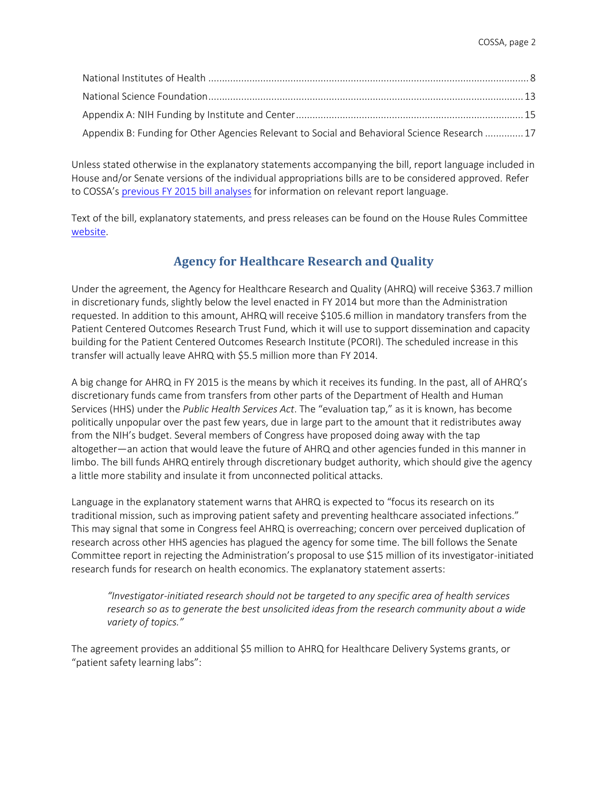| Appendix B: Funding for Other Agencies Relevant to Social and Behavioral Science Research  17 |  |
|-----------------------------------------------------------------------------------------------|--|

Unless stated otherwise in the explanatory statements accompanying the bill, report language included in House and/or Senate versions of the individual appropriations bills are to be considered approved. Refer to COSSA's previous [FY 2015 bill](http://www.cossa.org/advocacy/funding-updates/) analyses for information on relevant report language.

Text of the bill, explanatory statements, and press releases can be found on the House Rules Committee [website.](http://rules.house.gov/bill/113/hr-83)

## **Agency for Healthcare Research and Quality**

<span id="page-1-0"></span>Under the agreement, the Agency for Healthcare Research and Quality (AHRQ) will receive \$363.7 million in discretionary funds, slightly below the level enacted in FY 2014 but more than the Administration requested. In addition to this amount, AHRQ will receive \$105.6 million in mandatory transfers from the Patient Centered Outcomes Research Trust Fund, which it will use to support dissemination and capacity building for the Patient Centered Outcomes Research Institute (PCORI). The scheduled increase in this transfer will actually leave AHRQ with \$5.5 million more than FY 2014.

A big change for AHRQ in FY 2015 is the means by which it receives its funding. In the past, all of AHRQ's discretionary funds came from transfers from other parts of the Department of Health and Human Services (HHS) under the *Public Health Services Act*. The "evaluation tap," as it is known, has become politically unpopular over the past few years, due in large part to the amount that it redistributes away from the NIH's budget. Several members of Congress have proposed doing away with the tap altogether—an action that would leave the future of AHRQ and other agencies funded in this manner in limbo. The bill funds AHRQ entirely through discretionary budget authority, which should give the agency a little more stability and insulate it from unconnected political attacks.

Language in the explanatory statement warns that AHRQ is expected to "focus its research on its traditional mission, such as improving patient safety and preventing healthcare associated infections." This may signal that some in Congress feel AHRQ is overreaching; concern over perceived duplication of research across other HHS agencies has plagued the agency for some time. The bill follows the Senate Committee report in rejecting the Administration's proposal to use \$15 million of its investigator-initiated research funds for research on health economics. The explanatory statement asserts:

*"Investigator-initiated research should not be targeted to any specific area of health services research so as to generate the best unsolicited ideas from the research community about a wide variety of topics."*

The agreement provides an additional \$5 million to AHRQ for Healthcare Delivery Systems grants, or "patient safety learning labs":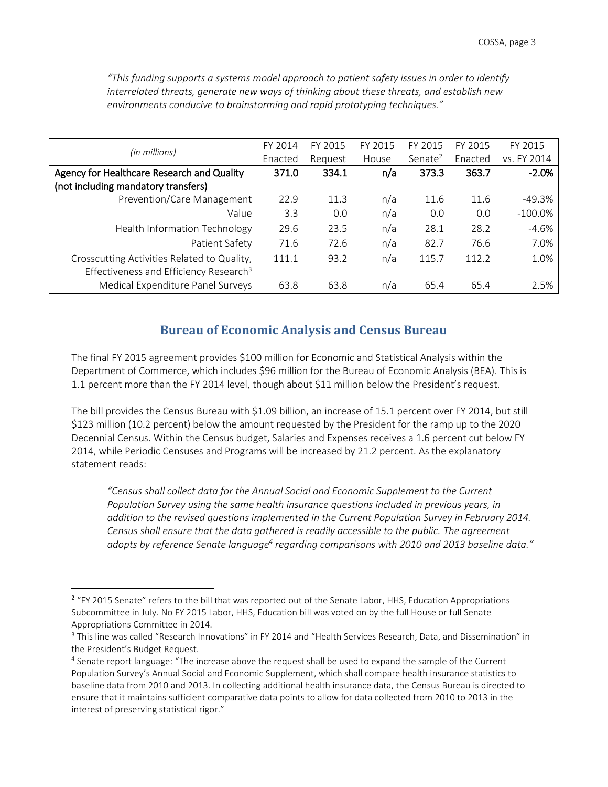| (in millions)                                                                                     | FY 2014 | FY 2015 | FY 2015 | FY 2015    | FY 2015 | FY 2015     |
|---------------------------------------------------------------------------------------------------|---------|---------|---------|------------|---------|-------------|
|                                                                                                   | Enacted | Request | House   | Senate $2$ | Enacted | vs. FY 2014 |
| Agency for Healthcare Research and Quality                                                        | 371.0   | 334.1   | n/a     | 373.3      | 363.7   | $-2.0%$     |
| (not including mandatory transfers)                                                               |         |         |         |            |         |             |
| Prevention/Care Management                                                                        | 22.9    | 11.3    | n/a     | 11.6       | 11.6    | $-49.3%$    |
| Value                                                                                             | 3.3     | 0.0     | n/a     | 0.0        | 0.0     | $-100.0\%$  |
| Health Information Technology                                                                     | 29.6    | 23.5    | n/a     | 28.1       | 28.2    | $-4.6%$     |
| Patient Safety                                                                                    | 71.6    | 72.6    | n/a     | 82.7       | 76.6    | 7.0%        |
| Crosscutting Activities Related to Quality,<br>Effectiveness and Efficiency Research <sup>3</sup> | 111.1   | 93.2    | n/a     | 115.7      | 112.2   | 1.0%        |
| Medical Expenditure Panel Surveys                                                                 | 63.8    | 63.8    | n/a     | 65.4       | 65.4    | 2.5%        |

*"This funding supports a systems model approach to patient safety issues in order to identify interrelated threats, generate new ways of thinking about these threats, and establish new environments conducive to brainstorming and rapid prototyping techniques."*

## **Bureau of Economic Analysis and Census Bureau**

<span id="page-2-0"></span>The final FY 2015 agreement provides \$100 million for Economic and Statistical Analysis within the Department of Commerce, which includes \$96 million for the Bureau of Economic Analysis (BEA). This is 1.1 percent more than the FY 2014 level, though about \$11 million below the President's request.

The bill provides the Census Bureau with \$1.09 billion, an increase of 15.1 percent over FY 2014, but still \$123 million (10.2 percent) below the amount requested by the President for the ramp up to the 2020 Decennial Census. Within the Census budget, Salaries and Expenses receives a 1.6 percent cut below FY 2014, while Periodic Censuses and Programs will be increased by 21.2 percent. As the explanatory statement reads:

*"Census shall collect data for the Annual Social and Economic Supplement to the Current Population Survey using the same health insurance questions included in previous years, in addition to the revised questions implemented in the Current Population Survey in February 2014. Census shall ensure that the data gathered is readily accessible to the public. The agreement adopts by reference Senate language<sup>4</sup> regarding comparisons with 2010 and 2013 baseline data."*

<sup>&</sup>lt;sup>2</sup> "FY 2015 Senate" refers to the bill that was reported out of the Senate Labor, HHS, Education Appropriations Subcommittee in July. No FY 2015 Labor, HHS, Education bill was voted on by the full House or full Senate Appropriations Committee in 2014.

<sup>&</sup>lt;sup>3</sup> This line was called "Research Innovations" in FY 2014 and "Health Services Research, Data, and Dissemination" in the President's Budget Request.

<sup>&</sup>lt;sup>4</sup> Senate report language: "The increase above the request shall be used to expand the sample of the Current Population Survey's Annual Social and Economic Supplement, which shall compare health insurance statistics to baseline data from 2010 and 2013. In collecting additional health insurance data, the Census Bureau is directed to ensure that it maintains sufficient comparative data points to allow for data collected from 2010 to 2013 in the interest of preserving statistical rigor."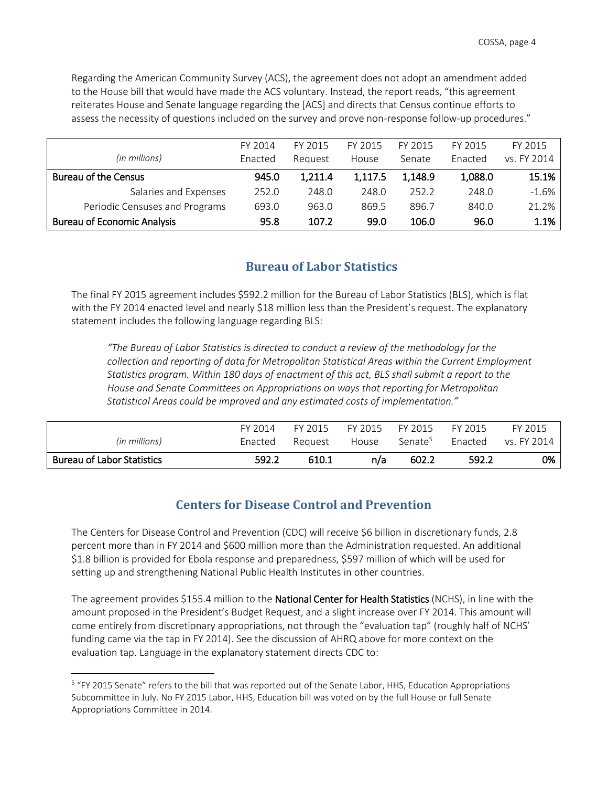Regarding the American Community Survey (ACS), the agreement does not adopt an amendment added to the House bill that would have made the ACS voluntary. Instead, the report reads, "this agreement reiterates House and Senate language regarding the [ACS] and directs that Census continue efforts to assess the necessity of questions included on the survey and prove non-response follow-up procedures."

|                                    | FY 2014 | FY 2015 | FY 2015 | FY 2015 | FY 2015 | FY 2015     |
|------------------------------------|---------|---------|---------|---------|---------|-------------|
| (in millions)                      | Enacted | Reauest | House   | Senate  | Enacted | vs. FY 2014 |
| <b>Bureau of the Census</b>        | 945.0   | 1,211.4 | 1,117.5 | 1,148.9 | 1,088.0 | 15.1%       |
| Salaries and Expenses              | 252.0   | 248.0   | 248.0   | 252.2   | 248.0   | $-1.6%$     |
| Periodic Censuses and Programs     | 693.0   | 963.0   | 869.5   | 896.7   | 840.0   | 21.2%       |
| <b>Bureau of Economic Analysis</b> | 95.8    | 107.2   | 99.0    | 106.0   | 96.0    | 1.1%        |

### <span id="page-3-0"></span>**Bureau of Labor Statistics**

The final FY 2015 agreement includes \$592.2 million for the Bureau of Labor Statistics (BLS), which is flat with the FY 2014 enacted level and nearly \$18 million less than the President's request. The explanatory statement includes the following language regarding BLS:

*"The Bureau of Labor Statistics is directed to conduct a review of the methodology for the collection and reporting of data for Metropolitan Statistical Areas within the Current Employment Statistics program. Within 180 days of enactment of this act, BLS shall submit a report to the House and Senate Committees on Appropriations on ways that reporting for Metropolitan Statistical Areas could be improved and any estimated costs of implementation."* 

|                                   | FY 2014 | FY 2015 | FY 2015 | FY 2015             | FY 2015 | FY 2015     |
|-----------------------------------|---------|---------|---------|---------------------|---------|-------------|
| (in millions)                     | Enacted | Reauest | House   | Senate <sup>5</sup> | Enacted | vs. FY 2014 |
| <b>Bureau of Labor Statistics</b> | 592.2   | 610.1   | n/a     | 602.2               | 592.2   | 0%          |

## **Centers for Disease Control and Prevention**

<span id="page-3-1"></span>The Centers for Disease Control and Prevention (CDC) will receive \$6 billion in discretionary funds, 2.8 percent more than in FY 2014 and \$600 million more than the Administration requested. An additional \$1.8 billion is provided for Ebola response and preparedness, \$597 million of which will be used for setting up and strengthening National Public Health Institutes in other countries.

The agreement provides \$155.4 million to the **National Center for Health Statistics** (NCHS), in line with the amount proposed in the President's Budget Request, and a slight increase over FY 2014. This amount will come entirely from discretionary appropriations, not through the "evaluation tap" (roughly half of NCHS' funding came via the tap in FY 2014). See the discussion of AHRQ above for more context on the evaluation tap. Language in the explanatory statement directs CDC to:

<sup>&</sup>lt;sup>5</sup> "FY 2015 Senate" refers to the bill that was reported out of the Senate Labor, HHS, Education Appropriations Subcommittee in July. No FY 2015 Labor, HHS, Education bill was voted on by the full House or full Senate Appropriations Committee in 2014.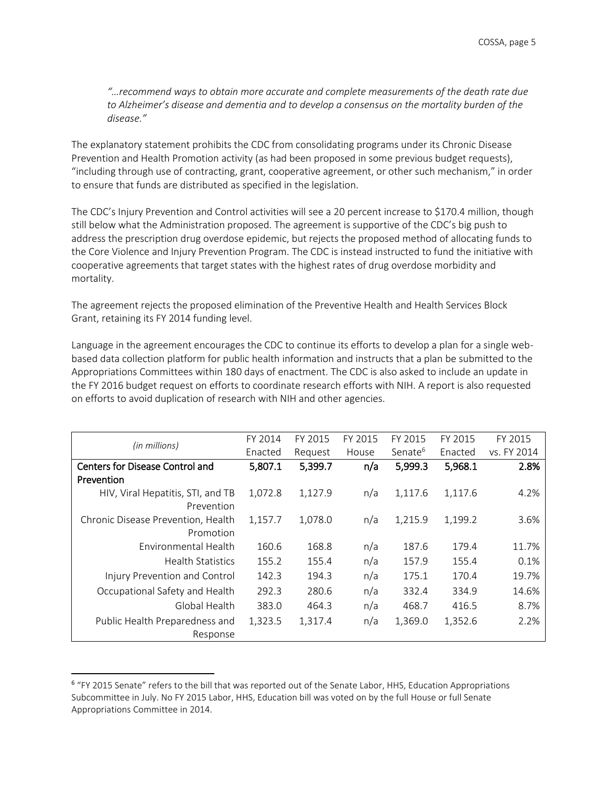*"…recommend ways to obtain more accurate and complete measurements of the death rate due to Alzheimer's disease and dementia and to develop a consensus on the mortality burden of the disease."*

The explanatory statement prohibits the CDC from consolidating programs under its Chronic Disease Prevention and Health Promotion activity (as had been proposed in some previous budget requests), "including through use of contracting, grant, cooperative agreement, or other such mechanism," in order to ensure that funds are distributed as specified in the legislation.

The CDC's Injury Prevention and Control activities will see a 20 percent increase to \$170.4 million, though still below what the Administration proposed. The agreement is supportive of the CDC's big push to address the prescription drug overdose epidemic, but rejects the proposed method of allocating funds to the Core Violence and Injury Prevention Program. The CDC is instead instructed to fund the initiative with cooperative agreements that target states with the highest rates of drug overdose morbidity and mortality.

The agreement rejects the proposed elimination of the Preventive Health and Health Services Block Grant, retaining its FY 2014 funding level.

Language in the agreement encourages the CDC to continue its efforts to develop a plan for a single webbased data collection platform for public health information and instructs that a plan be submitted to the Appropriations Committees within 180 days of enactment. The CDC is also asked to include an update in the FY 2016 budget request on efforts to coordinate research efforts with NIH. A report is also requested on efforts to avoid duplication of research with NIH and other agencies.

|                                    | FY 2014 | FY 2015 | FY 2015 | FY 2015             | FY 2015 | FY 2015     |
|------------------------------------|---------|---------|---------|---------------------|---------|-------------|
| (in millions)                      | Enacted | Request | House   | Senate <sup>6</sup> | Enacted | vs. FY 2014 |
| Centers for Disease Control and    | 5,807.1 | 5,399.7 | n/a     | 5,999.3             | 5,968.1 | 2.8%        |
| Prevention                         |         |         |         |                     |         |             |
| HIV, Viral Hepatitis, STI, and TB  | 1,072.8 | 1,127.9 | n/a     | 1,117.6             | 1,117.6 | 4.2%        |
| Prevention                         |         |         |         |                     |         |             |
| Chronic Disease Prevention, Health | 1,157.7 | 1,078.0 | n/a     | 1,215.9             | 1,199.2 | 3.6%        |
| Promotion                          |         |         |         |                     |         |             |
| Environmental Health               | 160.6   | 168.8   | n/a     | 187.6               | 179.4   | 11.7%       |
| <b>Health Statistics</b>           | 155.2   | 155.4   | n/a     | 157.9               | 155.4   | 0.1%        |
| Injury Prevention and Control      | 142.3   | 194.3   | n/a     | 175.1               | 170.4   | 19.7%       |
| Occupational Safety and Health     | 292.3   | 280.6   | n/a     | 332.4               | 334.9   | 14.6%       |
| Global Health                      | 383.0   | 464.3   | n/a     | 468.7               | 416.5   | 8.7%        |
| Public Health Preparedness and     | 1,323.5 | 1,317.4 | n/a     | 1,369.0             | 1,352.6 | 2.2%        |
| Response                           |         |         |         |                     |         |             |

<sup>&</sup>lt;sup>6</sup> "FY 2015 Senate" refers to the bill that was reported out of the Senate Labor, HHS, Education Appropriations Subcommittee in July. No FY 2015 Labor, HHS, Education bill was voted on by the full House or full Senate Appropriations Committee in 2014.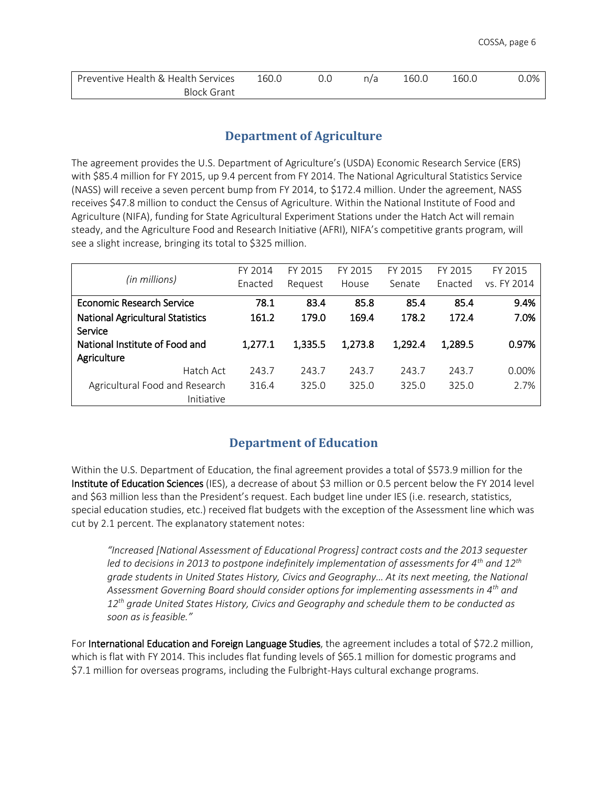| Preventive Health & Health Services | ـ60.0 | n/2<br>17 d | 160.U | 10U.U | $0.0\%$ |
|-------------------------------------|-------|-------------|-------|-------|---------|
| Block Grant                         |       |             |       |       |         |

## **Department of Agriculture**

<span id="page-5-0"></span>The agreement provides the U.S. Department of Agriculture's (USDA) Economic Research Service (ERS) with \$85.4 million for FY 2015, up 9.4 percent from FY 2014. The National Agricultural Statistics Service (NASS) will receive a seven percent bump from FY 2014, to \$172.4 million. Under the agreement, NASS receives \$47.8 million to conduct the Census of Agriculture. Within the National Institute of Food and Agriculture (NIFA), funding for State Agricultural Experiment Stations under the Hatch Act will remain steady, and the Agriculture Food and Research Initiative (AFRI), NIFA's competitive grants program, will see a slight increase, bringing its total to \$325 million.

|                                                    | FY 2014 | FY 2015 | FY 2015 | FY 2015 | FY 2015 | FY 2015     |
|----------------------------------------------------|---------|---------|---------|---------|---------|-------------|
| (in millions)                                      | Enacted | Request | House   | Senate  | Enacted | vs. FY 2014 |
| <b>Economic Research Service</b>                   | 78.1    | 83.4    | 85.8    | 85.4    | 85.4    | 9.4%        |
| <b>National Agricultural Statistics</b><br>Service | 161.2   | 179.0   | 169.4   | 178.2   | 172.4   | 7.0%        |
| National Institute of Food and<br>Agriculture      | 1,277.1 | 1,335.5 | 1,273.8 | 1,292.4 | 1,289.5 | 0.97%       |
| Hatch Act                                          | 243.7   | 243.7   | 243.7   | 243.7   | 243.7   | 0.00%       |
| Agricultural Food and Research<br>Initiative       | 316.4   | 325.0   | 325.0   | 325.0   | 325.0   | 2.7%        |

## **Department of Education**

<span id="page-5-1"></span>Within the U.S. Department of Education, the final agreement provides a total of \$573.9 million for the Institute of Education Sciences (IES), a decrease of about \$3 million or 0.5 percent below the FY 2014 level and \$63 million less than the President's request. Each budget line under IES (i.e. research, statistics, special education studies, etc.) received flat budgets with the exception of the Assessment line which was cut by 2.1 percent. The explanatory statement notes:

*"Increased [National Assessment of Educational Progress] contract costs and the 2013 sequester led to decisions in 2013 to postpone indefinitely implementation of assessments for 4th and 12th grade students in United States History, Civics and Geography… At its next meeting, the National Assessment Governing Board should consider options for implementing assessments in 4th and 12th grade United States History, Civics and Geography and schedule them to be conducted as soon as is feasible."* 

For International Education and Foreign Language Studies, the agreement includes a total of \$72.2 million, which is flat with FY 2014. This includes flat funding levels of \$65.1 million for domestic programs and \$7.1 million for overseas programs, including the Fulbright-Hays cultural exchange programs.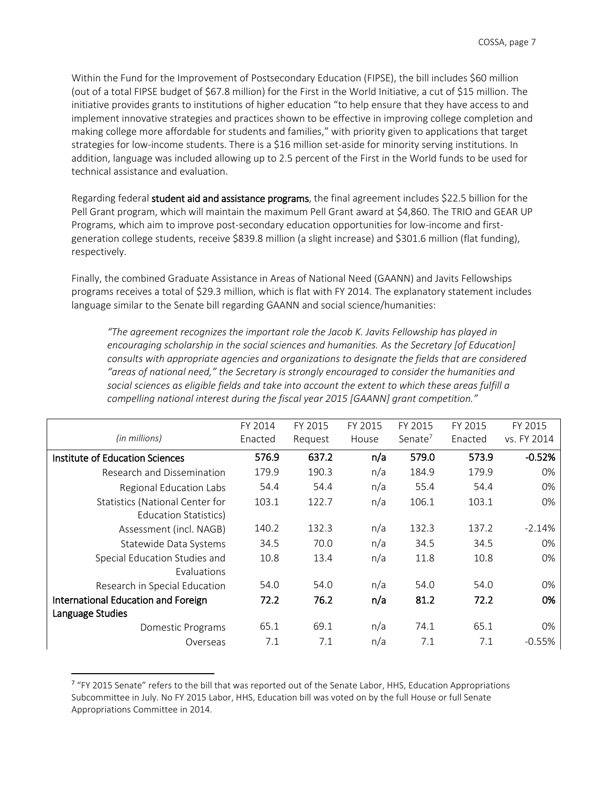Within the Fund for the Improvement of Postsecondary Education (FIPSE), the bill includes \$60 million (out of a total FIPSE budget of \$67.8 million) for the First in the World Initiative, a cut of \$15 million. The initiative provides grants to institutions of higher education "to help ensure that they have access to and implement innovative strategies and practices shown to be effective in improving college completion and making college more affordable for students and families," with priority given to applications that target strategies for low-income students. There is a \$16 million set-aside for minority serving institutions. In addition, language was included allowing up to 2.5 percent of the First in the World funds to be used for technical assistance and evaluation.

Regarding federal student aid and assistance programs, the final agreement includes \$22.5 billion for the Pell Grant program, which will maintain the maximum Pell Grant award at \$4,860. The TRIO and GEAR UP Programs, which aim to improve post-secondary education opportunities for low-income and firstgeneration college students, receive \$839.8 million (a slight increase) and \$301.6 million (flat funding), respectively.

Finally, the combined Graduate Assistance in Areas of National Need (GAANN) and Javits Fellowships programs receives a total of \$29.3 million, which is flat with FY 2014. The explanatory statement includes language similar to the Senate bill regarding GAANN and social science/humanities:

*"The agreement recognizes the important role the Jacob K. Javits Fellowship has played in encouraging scholarship in the social sciences and humanities. As the Secretary [of Education] consults with appropriate agencies and organizations to designate the fields that are considered "areas of national need," the Secretary is strongly encouraged to consider the humanities and social sciences as eligible fields and take into account the extent to which these areas fulfill a compelling national interest during the fiscal year 2015 [GAANN] grant competition."*

|                                        | FY 2014 | FY 2015 | FY 2015 | FY 2015    | FY 2015 | FY 2015     |
|----------------------------------------|---------|---------|---------|------------|---------|-------------|
| (in millions)                          | Enacted | Request | House   | Senate $7$ | Enacted | vs. FY 2014 |
| Institute of Education Sciences        | 576.9   | 637.2   | n/a     | 579.0      | 573.9   | $-0.52%$    |
| Research and Dissemination             | 179.9   | 190.3   | n/a     | 184.9      | 179.9   | 0%          |
| Regional Education Labs                | 54.4    | 54.4    | n/a     | 55.4       | 54.4    | 0%          |
| <b>Statistics (National Center for</b> | 103.1   | 122.7   | n/a     | 106.1      | 103.1   | 0%          |
| Education Statistics)                  |         |         |         |            |         |             |
| Assessment (incl. NAGB)                | 140.2   | 132.3   | n/a     | 132.3      | 137.2   | $-2.14%$    |
| Statewide Data Systems                 | 34.5    | 70.0    | n/a     | 34.5       | 34.5    | $0\%$       |
| Special Education Studies and          | 10.8    | 13.4    | n/a     | 11.8       | 10.8    | 0%          |
| Evaluations                            |         |         |         |            |         |             |
| Research in Special Education          | 54.0    | 54.0    | n/a     | 54.0       | 54.0    | 0%          |
| International Education and Foreign    | 72.2    | 76.2    | n/a     | 81.2       | 72.2    | 0%          |
| Language Studies                       |         |         |         |            |         |             |
| Domestic Programs                      | 65.1    | 69.1    | n/a     | 74.1       | 65.1    | 0%          |
| Overseas                               | 7.1     | 7.1     | n/a     | 7.1        | 7.1     | $-0.55%$    |

<sup>&</sup>lt;sup>7</sup> "FY 2015 Senate" refers to the bill that was reported out of the Senate Labor, HHS, Education Appropriations Subcommittee in July. No FY 2015 Labor, HHS, Education bill was voted on by the full House or full Senate Appropriations Committee in 2014.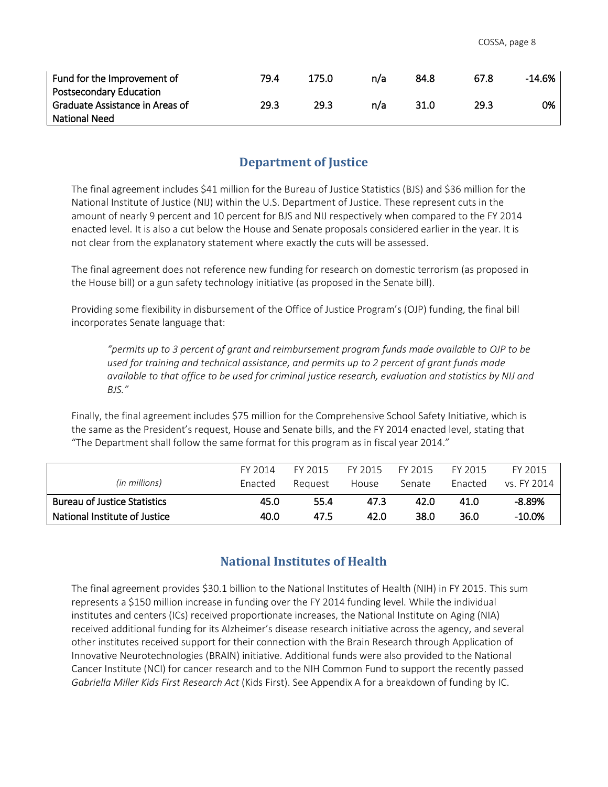| Fund for the Improvement of     | 79.4 | 175.0 | n/a | 84.8 | 67.8 | $-14.6\%$ |
|---------------------------------|------|-------|-----|------|------|-----------|
| <b>Postsecondary Education</b>  |      |       |     |      |      |           |
| Graduate Assistance in Areas of | 29.3 | 29.3  | n/a | 31.0 | 29.3 | 0%        |
| <b>National Need</b>            |      |       |     |      |      |           |

## **Department of Justice**

<span id="page-7-0"></span>The final agreement includes \$41 million for the Bureau of Justice Statistics (BJS) and \$36 million for the National Institute of Justice (NIJ) within the U.S. Department of Justice. These represent cuts in the amount of nearly 9 percent and 10 percent for BJS and NIJ respectively when compared to the FY 2014 enacted level. It is also a cut below the House and Senate proposals considered earlier in the year. It is not clear from the explanatory statement where exactly the cuts will be assessed.

The final agreement does not reference new funding for research on domestic terrorism (as proposed in the House bill) or a gun safety technology initiative (as proposed in the Senate bill).

Providing some flexibility in disbursement of the Office of Justice Program's (OJP) funding, the final bill incorporates Senate language that:

*"permits up to 3 percent of grant and reimbursement program funds made available to OJP to be used for training and technical assistance, and permits up to 2 percent of grant funds made available to that office to be used for criminal justice research, evaluation and statistics by NIJ and BJS."* 

Finally, the final agreement includes \$75 million for the Comprehensive School Safety Initiative, which is the same as the President's request, House and Senate bills, and the FY 2014 enacted level, stating that "The Department shall follow the same format for this program as in fiscal year 2014."

|                                     | FY 2014 | FY 2015 | FY 2015 | FY 2015 | FY 2015 | FY 2015     |
|-------------------------------------|---------|---------|---------|---------|---------|-------------|
| (in millions)                       | Enacted | Reauest | House   | Senate  | Enacted | vs. FY 2014 |
| <b>Bureau of Justice Statistics</b> | 45.0    | 55.4    | 47.3    | 42.0    | 41.0    | $-8.89%$    |
| National Institute of Justice       | 40.0    | 47.5    | 42.0    | 38.0    | 36.0    | $-10.0\%$   |

## **National Institutes of Health**

<span id="page-7-1"></span>The final agreement provides \$30.1 billion to the National Institutes of Health (NIH) in FY 2015. This sum represents a \$150 million increase in funding over the FY 2014 funding level. While the individual institutes and centers (ICs) received proportionate increases, the National Institute on Aging (NIA) received additional funding for its Alzheimer's disease research initiative across the agency, and several other institutes received support for their connection with the Brain Research through Application of Innovative Neurotechnologies (BRAIN) initiative. Additional funds were also provided to the National Cancer Institute (NCI) for cancer research and to the NIH Common Fund to support the recently passed *Gabriella Miller Kids First Research Act* (Kids First). See Appendix A for a breakdown of funding by IC.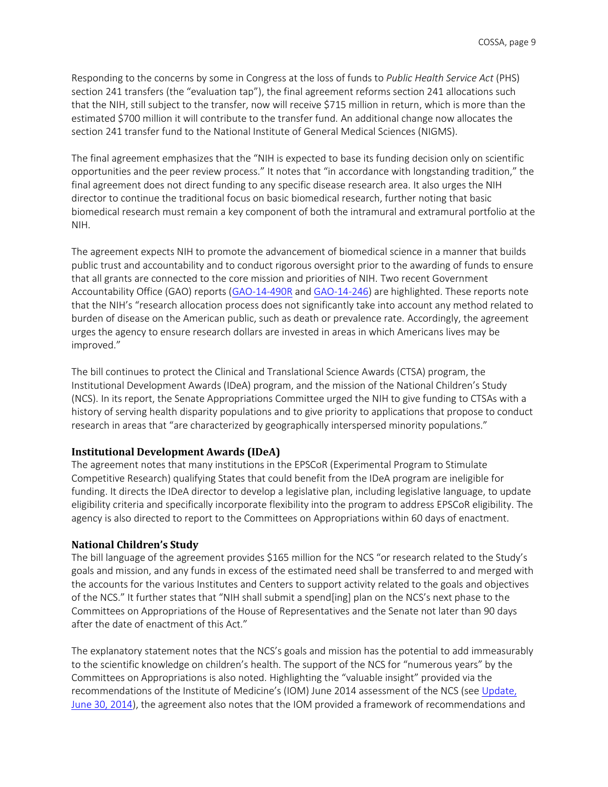Responding to the concerns by some in Congress at the loss of funds to *Public Health Service Act* (PHS) section 241 transfers (the "evaluation tap"), the final agreement reforms section 241 allocations such that the NIH, still subject to the transfer, now will receive \$715 million in return, which is more than the estimated \$700 million it will contribute to the transfer fund. An additional change now allocates the section 241 transfer fund to the National Institute of General Medical Sciences (NIGMS).

The final agreement emphasizes that the "NIH is expected to base its funding decision only on scientific opportunities and the peer review process." It notes that "in accordance with longstanding tradition," the final agreement does not direct funding to any specific disease research area. It also urges the NIH director to continue the traditional focus on basic biomedical research, further noting that basic biomedical research must remain a key component of both the intramural and extramural portfolio at the NIH.

The agreement expects NIH to promote the advancement of biomedical science in a manner that builds public trust and accountability and to conduct rigorous oversight prior to the awarding of funds to ensure that all grants are connected to the core mission and priorities of NIH. Two recent Government Accountability Office (GAO) reports [\(GAO-14-490R](http://www.gao.gov/assets/670/662722.pdf) and [GAO-14-246\)](http://www.gao.gov/assets/670/662134.pdf) are highlighted. These reports note that the NIH's "research allocation process does not significantly take into account any method related to burden of disease on the American public, such as death or prevalence rate. Accordingly, the agreement urges the agency to ensure research dollars are invested in areas in which Americans lives may be improved."

The bill continues to protect the Clinical and Translational Science Awards (CTSA) program, the Institutional Development Awards (IDeA) program, and the mission of the National Children's Study (NCS). In its report, the Senate Appropriations Committee urged the NIH to give funding to CTSAs with a history of serving health disparity populations and to give priority to applications that propose to conduct research in areas that "are characterized by geographically interspersed minority populations."

### **Institutional Development Awards (IDeA)**

The agreement notes that many institutions in the EPSCoR (Experimental Program to Stimulate Competitive Research) qualifying States that could benefit from the IDeA program are ineligible for funding. It directs the IDeA director to develop a legislative plan, including legislative language, to update eligibility criteria and specifically incorporate flexibility into the program to address EPSCoR eligibility. The agency is also directed to report to the Committees on Appropriations within 60 days of enactment.

#### **National Children's Study**

The bill language of the agreement provides \$165 million for the NCS "or research related to the Study's goals and mission, and any funds in excess of the estimated need shall be transferred to and merged with the accounts for the various Institutes and Centers to support activity related to the goals and objectives of the NCS." It further states that "NIH shall submit a spend[ing] plan on the NCS's next phase to the Committees on Appropriations of the House of Representatives and the Senate not later than 90 days after the date of enactment of this Act."

The explanatory statement notes that the NCS's goals and mission has the potential to add immeasurably to the scientific knowledge on children's health. The support of the NCS for "numerous years" by the Committees on Appropriations is also noted. Highlighting the "valuable insight" provided via the recommendations of the Institute of Medicine's (IOM) June 2014 assessment of the NCS (see [Update,](http://www.cossa.org/volume33/ChildrensStudy.pdf) [June 30, 2014\)](http://www.cossa.org/volume33/ChildrensStudy.pdf), the agreement also notes that the IOM provided a framework of recommendations and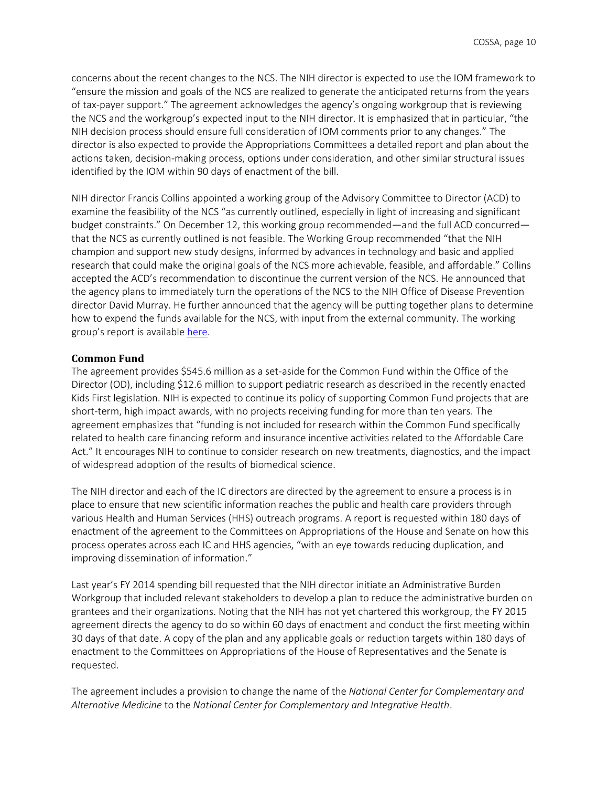concerns about the recent changes to the NCS. The NIH director is expected to use the IOM framework to "ensure the mission and goals of the NCS are realized to generate the anticipated returns from the years of tax-payer support." The agreement acknowledges the agency's ongoing workgroup that is reviewing the NCS and the workgroup's expected input to the NIH director. It is emphasized that in particular, "the NIH decision process should ensure full consideration of IOM comments prior to any changes." The director is also expected to provide the Appropriations Committees a detailed report and plan about the actions taken, decision-making process, options under consideration, and other similar structural issues identified by the IOM within 90 days of enactment of the bill.

NIH director Francis Collins appointed a working group of the Advisory Committee to Director (ACD) to examine the feasibility of the NCS "as currently outlined, especially in light of increasing and significant budget constraints." On December 12, this working group recommended—and the full ACD concurred that the NCS as currently outlined is not feasible. The Working Group recommended "that the NIH champion and support new study designs, informed by advances in technology and basic and applied research that could make the original goals of the NCS more achievable, feasible, and affordable." Collins accepted the ACD's recommendation to discontinue the current version of the NCS. He announced that the agency plans to immediately turn the operations of the NCS to the NIH Office of Disease Prevention director David Murray. He further announced that the agency will be putting together plans to determine how to expend the funds available for the NCS, with input from the external community. The working group's report is available [here.](http://acd.od.nih.gov/reports/NCS_WG_FINAL_REPORT.pdf)

#### **Common Fund**

The agreement provides \$545.6 million as a set-aside for the Common Fund within the Office of the Director (OD), including \$12.6 million to support pediatric research as described in the recently enacted Kids First legislation. NIH is expected to continue its policy of supporting Common Fund projects that are short-term, high impact awards, with no projects receiving funding for more than ten years. The agreement emphasizes that "funding is not included for research within the Common Fund specifically related to health care financing reform and insurance incentive activities related to the Affordable Care Act." It encourages NIH to continue to consider research on new treatments, diagnostics, and the impact of widespread adoption of the results of biomedical science.

The NIH director and each of the IC directors are directed by the agreement to ensure a process is in place to ensure that new scientific information reaches the public and health care providers through various Health and Human Services (HHS) outreach programs. A report is requested within 180 days of enactment of the agreement to the Committees on Appropriations of the House and Senate on how this process operates across each IC and HHS agencies, "with an eye towards reducing duplication, and improving dissemination of information."

Last year's FY 2014 spending bill requested that the NIH director initiate an Administrative Burden Workgroup that included relevant stakeholders to develop a plan to reduce the administrative burden on grantees and their organizations. Noting that the NIH has not yet chartered this workgroup, the FY 2015 agreement directs the agency to do so within 60 days of enactment and conduct the first meeting within 30 days of that date. A copy of the plan and any applicable goals or reduction targets within 180 days of enactment to the Committees on Appropriations of the House of Representatives and the Senate is requested.

The agreement includes a provision to change the name of the *National Center for Complementary and Alternative Medicine* to the *National Center for Complementary and Integrative Health*.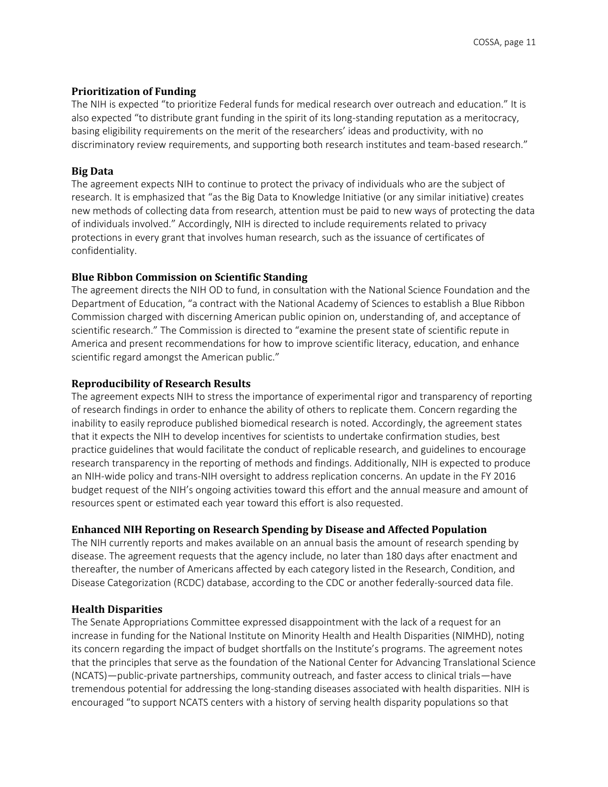### **Prioritization of Funding**

The NIH is expected "to prioritize Federal funds for medical research over outreach and education." It is also expected "to distribute grant funding in the spirit of its long-standing reputation as a meritocracy, basing eligibility requirements on the merit of the researchers' ideas and productivity, with no discriminatory review requirements, and supporting both research institutes and team-based research."

### **Big Data**

The agreement expects NIH to continue to protect the privacy of individuals who are the subject of research. It is emphasized that "as the Big Data to Knowledge Initiative (or any similar initiative) creates new methods of collecting data from research, attention must be paid to new ways of protecting the data of individuals involved." Accordingly, NIH is directed to include requirements related to privacy protections in every grant that involves human research, such as the issuance of certificates of confidentiality.

### **Blue Ribbon Commission on Scientific Standing**

The agreement directs the NIH OD to fund, in consultation with the National Science Foundation and the Department of Education, "a contract with the National Academy of Sciences to establish a Blue Ribbon Commission charged with discerning American public opinion on, understanding of, and acceptance of scientific research." The Commission is directed to "examine the present state of scientific repute in America and present recommendations for how to improve scientific literacy, education, and enhance scientific regard amongst the American public."

### **Reproducibility of Research Results**

The agreement expects NIH to stress the importance of experimental rigor and transparency of reporting of research findings in order to enhance the ability of others to replicate them. Concern regarding the inability to easily reproduce published biomedical research is noted. Accordingly, the agreement states that it expects the NIH to develop incentives for scientists to undertake confirmation studies, best practice guidelines that would facilitate the conduct of replicable research, and guidelines to encourage research transparency in the reporting of methods and findings. Additionally, NIH is expected to produce an NIH-wide policy and trans-NIH oversight to address replication concerns. An update in the FY 2016 budget request of the NIH's ongoing activities toward this effort and the annual measure and amount of resources spent or estimated each year toward this effort is also requested.

### **Enhanced NIH Reporting on Research Spending by Disease and Affected Population**

The NIH currently reports and makes available on an annual basis the amount of research spending by disease. The agreement requests that the agency include, no later than 180 days after enactment and thereafter, the number of Americans affected by each category listed in the Research, Condition, and Disease Categorization (RCDC) database, according to the CDC or another federally-sourced data file.

### **Health Disparities**

The Senate Appropriations Committee expressed disappointment with the lack of a request for an increase in funding for the National Institute on Minority Health and Health Disparities (NIMHD), noting its concern regarding the impact of budget shortfalls on the Institute's programs. The agreement notes that the principles that serve as the foundation of the National Center for Advancing Translational Science (NCATS)—public-private partnerships, community outreach, and faster access to clinical trials—have tremendous potential for addressing the long-standing diseases associated with health disparities. NIH is encouraged "to support NCATS centers with a history of serving health disparity populations so that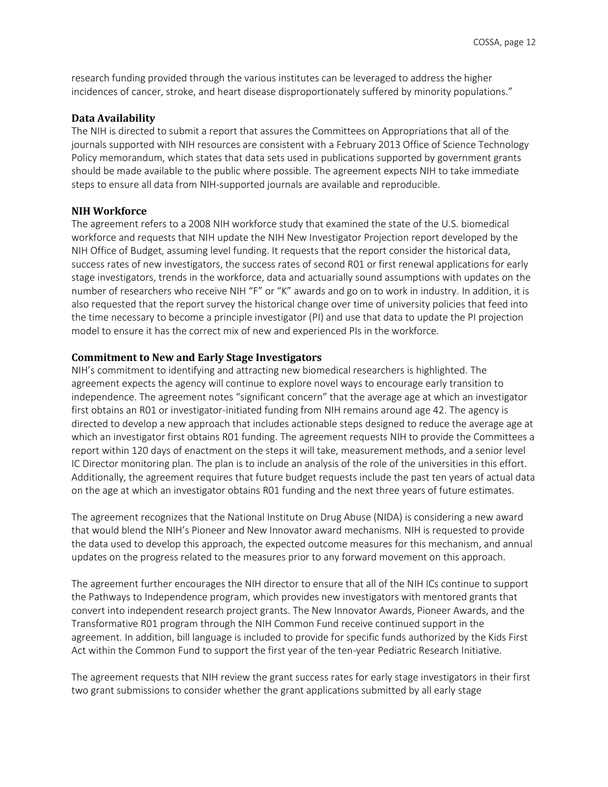research funding provided through the various institutes can be leveraged to address the higher incidences of cancer, stroke, and heart disease disproportionately suffered by minority populations."

#### **Data Availability**

The NIH is directed to submit a report that assures the Committees on Appropriations that all of the journals supported with NIH resources are consistent with a February 2013 Office of Science Technology Policy memorandum, which states that data sets used in publications supported by government grants should be made available to the public where possible. The agreement expects NIH to take immediate steps to ensure all data from NIH-supported journals are available and reproducible.

#### **NIH Workforce**

The agreement refers to a 2008 NIH workforce study that examined the state of the U.S. biomedical workforce and requests that NIH update the NIH New Investigator Projection report developed by the NIH Office of Budget, assuming level funding. It requests that the report consider the historical data, success rates of new investigators, the success rates of second R01 or first renewal applications for early stage investigators, trends in the workforce, data and actuarially sound assumptions with updates on the number of researchers who receive NIH "F" or "K" awards and go on to work in industry. In addition, it is also requested that the report survey the historical change over time of university policies that feed into the time necessary to become a principle investigator (PI) and use that data to update the PI projection model to ensure it has the correct mix of new and experienced PIs in the workforce.

#### **Commitment to New and Early Stage Investigators**

NIH's commitment to identifying and attracting new biomedical researchers is highlighted. The agreement expects the agency will continue to explore novel ways to encourage early transition to independence. The agreement notes "significant concern" that the average age at which an investigator first obtains an R01 or investigator-initiated funding from NIH remains around age 42. The agency is directed to develop a new approach that includes actionable steps designed to reduce the average age at which an investigator first obtains R01 funding. The agreement requests NIH to provide the Committees a report within 120 days of enactment on the steps it will take, measurement methods, and a senior level IC Director monitoring plan. The plan is to include an analysis of the role of the universities in this effort. Additionally, the agreement requires that future budget requests include the past ten years of actual data on the age at which an investigator obtains R01 funding and the next three years of future estimates.

The agreement recognizes that the National Institute on Drug Abuse (NIDA) is considering a new award that would blend the NIH's Pioneer and New Innovator award mechanisms. NIH is requested to provide the data used to develop this approach, the expected outcome measures for this mechanism, and annual updates on the progress related to the measures prior to any forward movement on this approach.

The agreement further encourages the NIH director to ensure that all of the NIH ICs continue to support the Pathways to Independence program, which provides new investigators with mentored grants that convert into independent research project grants. The New Innovator Awards, Pioneer Awards, and the Transformative R01 program through the NIH Common Fund receive continued support in the agreement. In addition, bill language is included to provide for specific funds authorized by the Kids First Act within the Common Fund to support the first year of the ten-year Pediatric Research Initiative.

The agreement requests that NIH review the grant success rates for early stage investigators in their first two grant submissions to consider whether the grant applications submitted by all early stage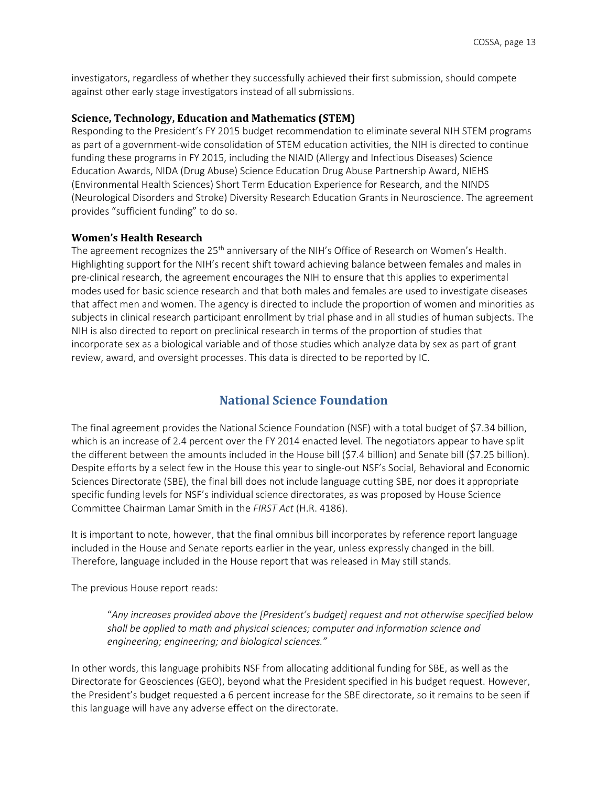investigators, regardless of whether they successfully achieved their first submission, should compete against other early stage investigators instead of all submissions.

#### **Science, Technology, Education and Mathematics (STEM)**

Responding to the President's FY 2015 budget recommendation to eliminate several NIH STEM programs as part of a government-wide consolidation of STEM education activities, the NIH is directed to continue funding these programs in FY 2015, including the NIAID (Allergy and Infectious Diseases) Science Education Awards, NIDA (Drug Abuse) Science Education Drug Abuse Partnership Award, NIEHS (Environmental Health Sciences) Short Term Education Experience for Research, and the NINDS (Neurological Disorders and Stroke) Diversity Research Education Grants in Neuroscience. The agreement provides "sufficient funding" to do so.

#### **Women's Health Research**

The agreement recognizes the 25<sup>th</sup> anniversary of the NIH's Office of Research on Women's Health. Highlighting support for the NIH's recent shift toward achieving balance between females and males in pre-clinical research, the agreement encourages the NIH to ensure that this applies to experimental modes used for basic science research and that both males and females are used to investigate diseases that affect men and women. The agency is directed to include the proportion of women and minorities as subjects in clinical research participant enrollment by trial phase and in all studies of human subjects. The NIH is also directed to report on preclinical research in terms of the proportion of studies that incorporate sex as a biological variable and of those studies which analyze data by sex as part of grant review, award, and oversight processes. This data is directed to be reported by IC.

### **National Science Foundation**

<span id="page-12-0"></span>The final agreement provides the National Science Foundation (NSF) with a total budget of \$7.34 billion, which is an increase of 2.4 percent over the FY 2014 enacted level. The negotiators appear to have split the different between the amounts included in the House bill (\$7.4 billion) and Senate bill (\$7.25 billion). Despite efforts by a select few in the House this year to single-out NSF's Social, Behavioral and Economic Sciences Directorate (SBE), the final bill does not include language cutting SBE, nor does it appropriate specific funding levels for NSF's individual science directorates, as was proposed by House Science Committee Chairman Lamar Smith in the *FIRST Act* (H.R. 4186).

It is important to note, however, that the final omnibus bill incorporates by reference report language included in the House and Senate reports earlier in the year, unless expressly changed in the bill. Therefore, language included in the House report that was released in May still stands.

The previous House report reads:

"*Any increases provided above the [President's budget] request and not otherwise specified below shall be applied to math and physical sciences; computer and information science and engineering; engineering; and biological sciences."* 

In other words, this language prohibits NSF from allocating additional funding for SBE, as well as the Directorate for Geosciences (GEO), beyond what the President specified in his budget request. However, the President's budget requested a 6 percent increase for the SBE directorate, so it remains to be seen if this language will have any adverse effect on the directorate.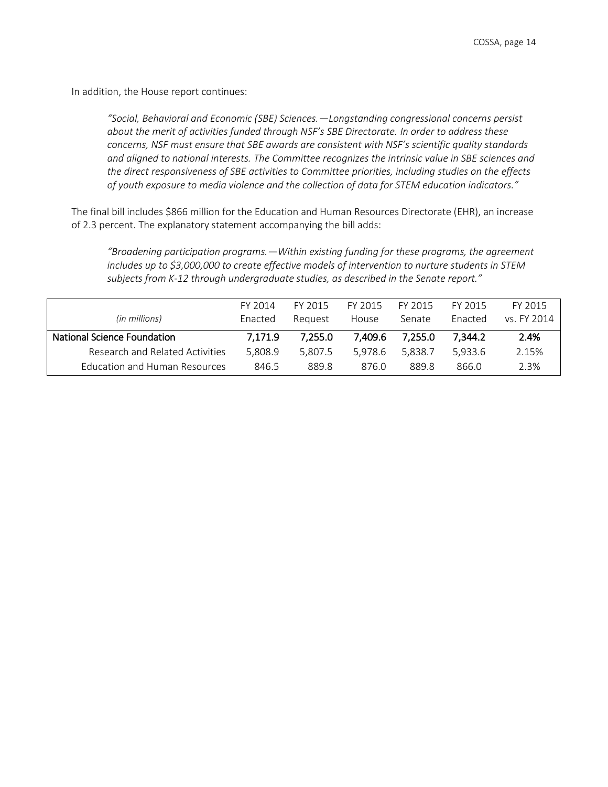In addition, the House report continues:

*"Social, Behavioral and Economic (SBE) Sciences.—Longstanding congressional concerns persist about the merit of activities funded through NSF's SBE Directorate. In order to address these concerns, NSF must ensure that SBE awards are consistent with NSF's scientific quality standards and aligned to national interests. The Committee recognizes the intrinsic value in SBE sciences and the direct responsiveness of SBE activities to Committee priorities, including studies on the effects of youth exposure to media violence and the collection of data for STEM education indicators."* 

The final bill includes \$866 million for the Education and Human Resources Directorate (EHR), an increase of 2.3 percent. The explanatory statement accompanying the bill adds:

*"Broadening participation programs.—Within existing funding for these programs, the agreement includes up to \$3,000,000 to create effective models of intervention to nurture students in STEM subjects from K-12 through undergraduate studies, as described in the Senate report."*

|                                    | FY 2014 | FY 2015 | FY 2015 | FY 2015 | FY 2015 | FY 2015     |
|------------------------------------|---------|---------|---------|---------|---------|-------------|
| (in millions)                      | Enacted | Reauest | House   | Senate  | Enacted | vs. FY 2014 |
| <b>National Science Foundation</b> | 7,171.9 | 7.255.0 | 7,409.6 | 7.255.0 | 7,344.2 | 2.4%        |
| Research and Related Activities    | 5.808.9 | 5.807.5 | 5.978.6 | 5.838.7 | 5.933.6 | 2.15%       |
| Education and Human Resources      | 846.5   | 889.8   | 876.0   | 889.8   | 866.0   | 2.3%        |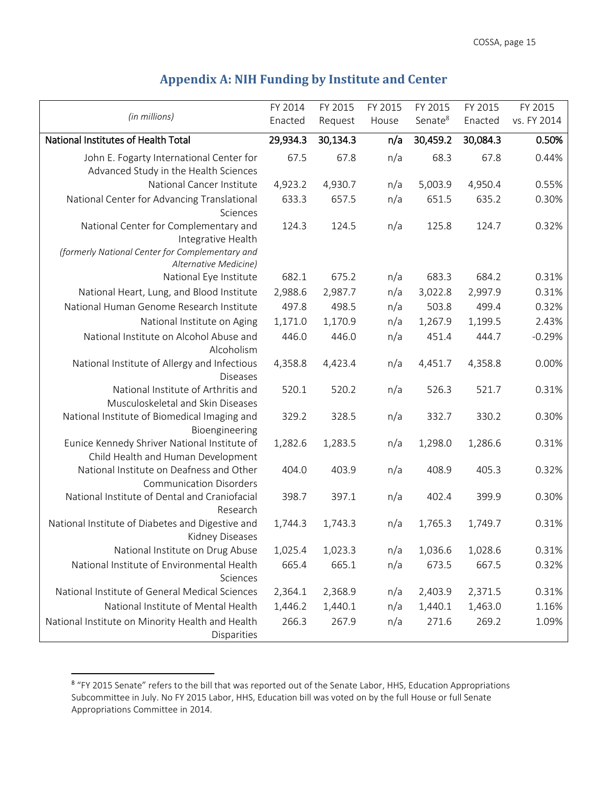# **Appendix A: NIH Funding by Institute and Center**

<span id="page-14-0"></span>

|                                                                                                                                         | FY 2014  | FY 2015  | FY 2015 | FY 2015             | FY 2015  | FY 2015     |
|-----------------------------------------------------------------------------------------------------------------------------------------|----------|----------|---------|---------------------|----------|-------------|
| (in millions)                                                                                                                           | Enacted  | Request  | House   | Senate <sup>8</sup> | Enacted  | vs. FY 2014 |
| National Institutes of Health Total                                                                                                     | 29,934.3 | 30,134.3 | n/a     | 30,459.2            | 30,084.3 | 0.50%       |
| John E. Fogarty International Center for                                                                                                | 67.5     | 67.8     | n/a     | 68.3                | 67.8     | 0.44%       |
| Advanced Study in the Health Sciences                                                                                                   |          |          |         |                     |          |             |
| National Cancer Institute                                                                                                               | 4,923.2  | 4,930.7  | n/a     | 5,003.9             | 4,950.4  | 0.55%       |
| National Center for Advancing Translational<br>Sciences                                                                                 | 633.3    | 657.5    | n/a     | 651.5               | 635.2    | 0.30%       |
| National Center for Complementary and<br>Integrative Health<br>(formerly National Center for Complementary and<br>Alternative Medicine) | 124.3    | 124.5    | n/a     | 125.8               | 124.7    | 0.32%       |
| National Eye Institute                                                                                                                  | 682.1    | 675.2    | n/a     | 683.3               | 684.2    | 0.31%       |
| National Heart, Lung, and Blood Institute                                                                                               | 2,988.6  | 2,987.7  | n/a     | 3,022.8             | 2,997.9  | 0.31%       |
| National Human Genome Research Institute                                                                                                | 497.8    | 498.5    | n/a     | 503.8               | 499.4    | 0.32%       |
| National Institute on Aging                                                                                                             | 1,171.0  | 1,170.9  | n/a     | 1,267.9             | 1,199.5  | 2.43%       |
| National Institute on Alcohol Abuse and                                                                                                 | 446.0    | 446.0    | n/a     | 451.4               | 444.7    | $-0.29%$    |
| Alcoholism                                                                                                                              |          |          |         |                     |          |             |
| National Institute of Allergy and Infectious<br><b>Diseases</b>                                                                         | 4,358.8  | 4,423.4  | n/a     | 4,451.7             | 4,358.8  | 0.00%       |
| National Institute of Arthritis and                                                                                                     | 520.1    | 520.2    | n/a     | 526.3               | 521.7    | 0.31%       |
| Musculoskeletal and Skin Diseases<br>National Institute of Biomedical Imaging and<br>Bioengineering                                     | 329.2    | 328.5    | n/a     | 332.7               | 330.2    | 0.30%       |
| Eunice Kennedy Shriver National Institute of<br>Child Health and Human Development                                                      | 1,282.6  | 1,283.5  | n/a     | 1,298.0             | 1,286.6  | 0.31%       |
| National Institute on Deafness and Other<br><b>Communication Disorders</b>                                                              | 404.0    | 403.9    | n/a     | 408.9               | 405.3    | 0.32%       |
| National Institute of Dental and Craniofacial<br>Research                                                                               | 398.7    | 397.1    | n/a     | 402.4               | 399.9    | 0.30%       |
| National Institute of Diabetes and Digestive and<br><b>Kidney Diseases</b>                                                              | 1,744.3  | 1,743.3  | n/a     | 1,765.3             | 1,749.7  | 0.31%       |
| National Institute on Drug Abuse                                                                                                        | 1,025.4  | 1,023.3  | n/a     | 1,036.6             | 1,028.6  | 0.31%       |
| National Institute of Environmental Health                                                                                              | 665.4    | 665.1    | n/a     | 673.5               | 667.5    | 0.32%       |
| Sciences                                                                                                                                |          |          |         |                     |          |             |
| National Institute of General Medical Sciences                                                                                          | 2,364.1  | 2,368.9  | n/a     | 2,403.9             | 2,371.5  | 0.31%       |
| National Institute of Mental Health                                                                                                     | 1,446.2  | 1,440.1  | n/a     | 1,440.1             | 1,463.0  | 1.16%       |
| National Institute on Minority Health and Health<br>Disparities                                                                         | 266.3    | 267.9    | n/a     | 271.6               | 269.2    | 1.09%       |

 8 "FY 2015 Senate" refers to the bill that was reported out of the Senate Labor, HHS, Education Appropriations Subcommittee in July. No FY 2015 Labor, HHS, Education bill was voted on by the full House or full Senate Appropriations Committee in 2014.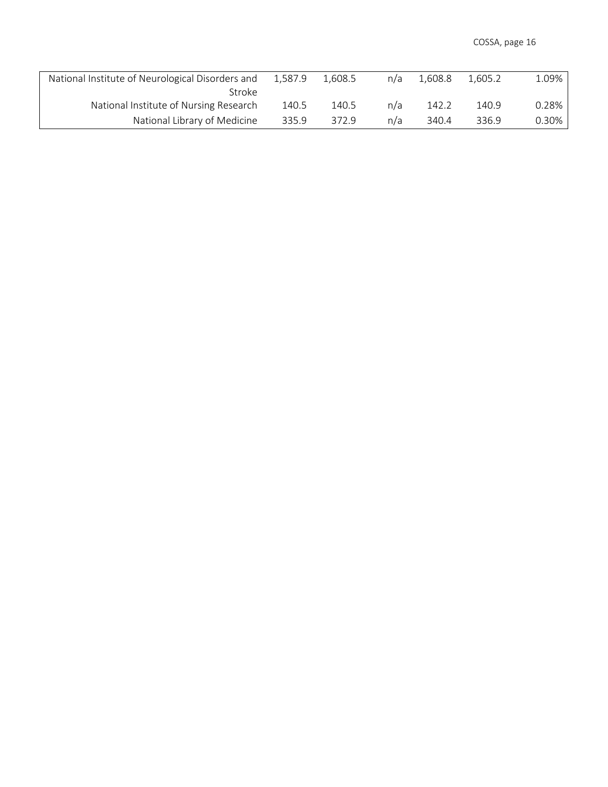| National Institute of Neurological Disorders and | 1.587.9 | 1.608.5 | n/a | 1.608.8 | 1.605.2 | 1.09% |
|--------------------------------------------------|---------|---------|-----|---------|---------|-------|
| Stroke                                           |         |         |     |         |         |       |
| National Institute of Nursing Research           | 140.5   | 140.5   | n/a | 142.2   | 140.9   | 0.28% |
| National Library of Medicine                     | 335.9   | 372.9   | n/a | 340.4   | 336.9   | 0.30% |